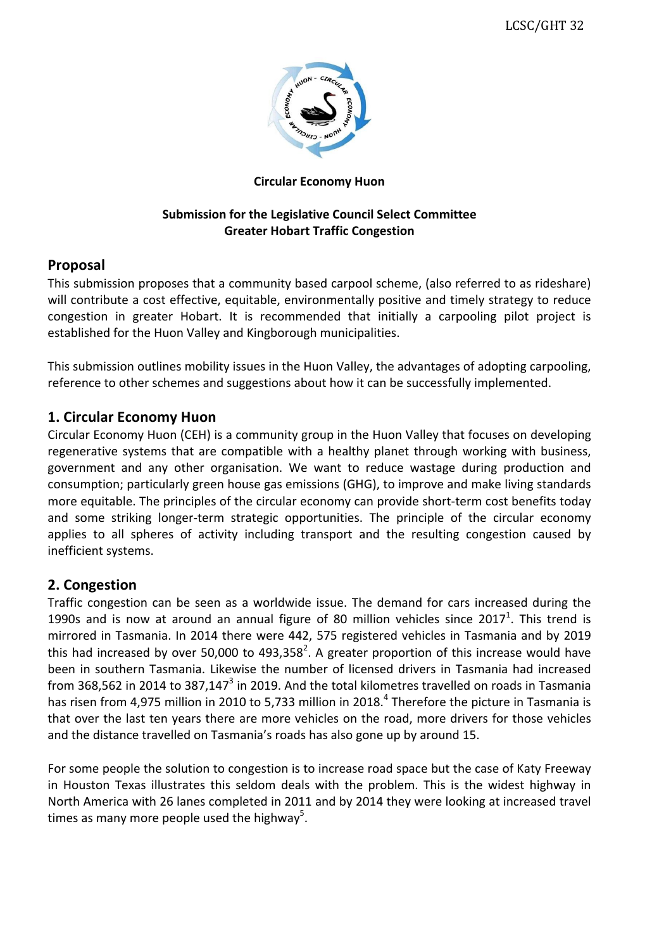

#### **Circular Economy Huon**

### **Submission for the Legislative Council Select Committee Greater Hobart Traffic Congestion**

### **Proposal**

This submission proposes that a community based carpool scheme, (also referred to as rideshare) will contribute a cost effective, equitable, environmentally positive and timely strategy to reduce congestion in greater Hobart. It is recommended that initially a carpooling pilot project is established for the Huon Valley and Kingborough municipalities.

This submission outlines mobility issues in the Huon Valley, the advantages of adopting carpooling, reference to other schemes and suggestions about how it can be successfully implemented.

# **1. Circular Economy Huon**

Circular Economy Huon (CEH) is a community group in the Huon Valley that focuses on developing regenerative systems that are compatible with a healthy planet through working with business, government and any other organisation. We want to reduce wastage during production and consumption; particularly green house gas emissions (GHG), to improve and make living standards more equitable. The principles of the circular economy can provide short-term cost benefits today and some striking longer-term strategic opportunities. The principle of the circular economy applies to all spheres of activity including transport and the resulting congestion caused by inefficient systems.

# **2. Congestion**

Traffic congestion can be seen as a worldwide issue. The demand for cars increased during the 1990s and is now at around an annual figure of 80 million vehicles since  $2017<sup>1</sup>$ . This trend is mirrored in Tasmania. In 2014 there were 442, 575 registered vehicles in Tasmania and by 2019 this had increased by over 50,000 to 493,358<sup>2</sup>. A greater proportion of this increase would have been in southern Tasmania. Likewise the number of licensed drivers in Tasmania had increased from 368,562 in 2014 to 387,147 $^3$  in 2019. And the total kilometres travelled on roads in Tasmania has risen from 4,975 million in 2010 to 5,733 million in 2018.<sup>4</sup> Therefore the picture in Tasmania is that over the last ten years there are more vehicles on the road, more drivers for those vehicles and the distance travelled on Tasmania's roads has also gone up by around 15.

For some people the solution to congestion is to increase road space but the case of Katy Freeway in Houston Texas illustrates this seldom deals with the problem. This is the widest highway in North America with 26 lanes completed in 2011 and by 2014 they were looking at increased travel times as many more people used the highway<sup>5</sup>.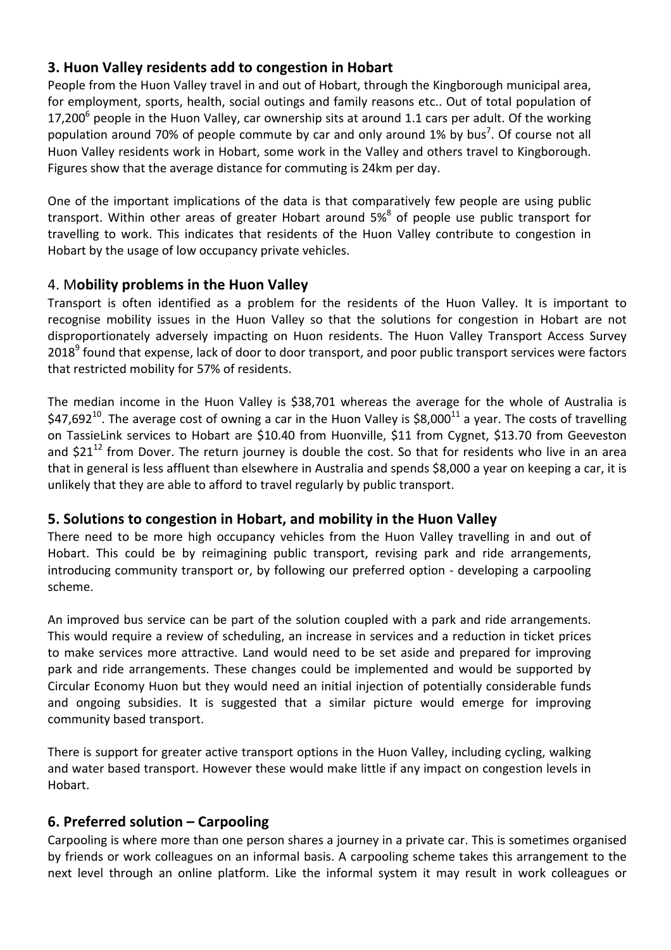# **3. Huon Valley residents add to congestion in Hobart**

People from the Huon Valley travel in and out of Hobart, through the Kingborough municipal area, for employment, sports, health, social outings and family reasons etc.. Out of total population of 17,200<sup>6</sup> people in the Huon Valley, car ownership sits at around 1.1 cars per adult. Of the working population around 70% of people commute by car and only around 1% by bus<sup>7</sup>. Of course not all Huon Valley residents work in Hobart, some work in the Valley and others travel to Kingborough. Figures show that the average distance for commuting is 24km per day.

One of the important implications of the data is that comparatively few people are using public transport. Within other areas of greater Hobart around  $5\%$ <sup>8</sup> of people use public transport for travelling to work. This indicates that residents of the Huon Valley contribute to congestion in Hobart by the usage of low occupancy private vehicles.

# 4. M**obility problems in the Huon Valley**

Transport is often identified as a problem for the residents of the Huon Valley. It is important to recognise mobility issues in the Huon Valley so that the solutions for congestion in Hobart are not disproportionately adversely impacting on Huon residents. The Huon Valley Transport Access Survey 2018<sup>9</sup> found that expense, lack of door to door transport, and poor public transport services were factors that restricted mobility for 57% of residents.

The median income in the Huon Valley is \$38,701 whereas the average for the whole of Australia is \$47,692<sup>10</sup>. The average cost of owning a car in the Huon Valley is \$8,000<sup>11</sup> a year. The costs of travelling on TassieLink services to Hobart are \$10.40 from Huonville, \$11 from Cygnet, \$13.70 from Geeveston and  $$21^{12}$  from Dover. The return journey is double the cost. So that for residents who live in an area that in general is less affluent than elsewhere in Australia and spends \$8,000 a year on keeping a car, it is unlikely that they are able to afford to travel regularly by public transport.

# **5. Solutions to congestion in Hobart, and mobility in the Huon Valley**

There need to be more high occupancy vehicles from the Huon Valley travelling in and out of Hobart. This could be by reimagining public transport, revising park and ride arrangements, introducing community transport or, by following our preferred option - developing a carpooling scheme.

An improved bus service can be part of the solution coupled with a park and ride arrangements. This would require a review of scheduling, an increase in services and a reduction in ticket prices to make services more attractive. Land would need to be set aside and prepared for improving park and ride arrangements. These changes could be implemented and would be supported by Circular Economy Huon but they would need an initial injection of potentially considerable funds and ongoing subsidies. It is suggested that a similar picture would emerge for improving community based transport.

There is support for greater active transport options in the Huon Valley, including cycling, walking and water based transport. However these would make little if any impact on congestion levels in Hobart.

# **6. Preferred solution – Carpooling**

Carpooling is where more than one person shares a journey in a private car. This is sometimes organised by friends or work colleagues on an informal basis. A carpooling scheme takes this arrangement to the next level through an online platform. Like the informal system it may result in work colleagues or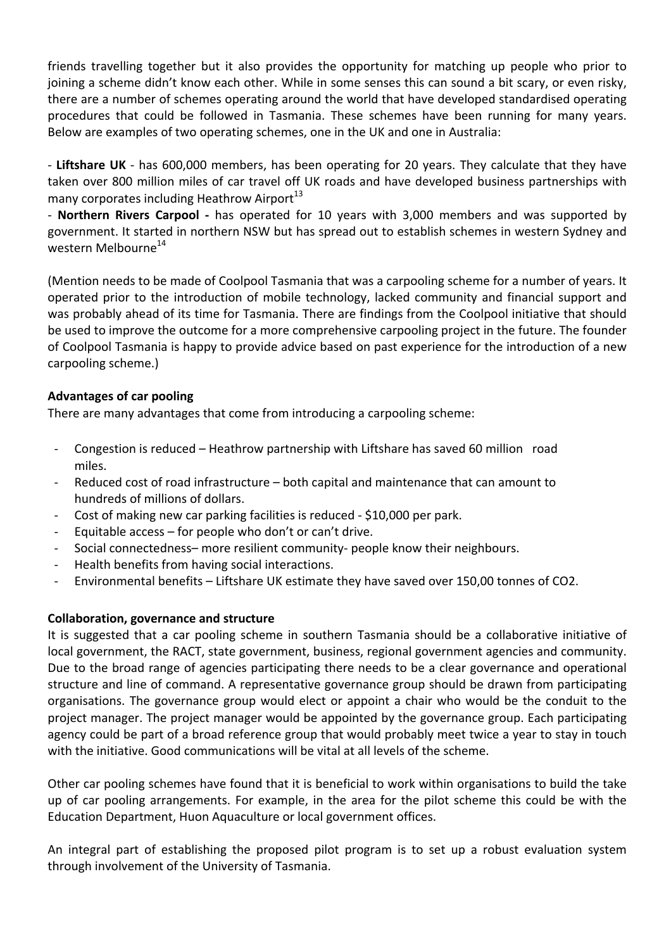friends travelling together but it also provides the opportunity for matching up people who prior to joining a scheme didn't know each other. While in some senses this can sound a bit scary, or even risky, there are a number of schemes operating around the world that have developed standardised operating procedures that could be followed in Tasmania. These schemes have been running for many years. Below are examples of two operating schemes, one in the UK and one in Australia:

- Liftshare UK - has 600,000 members, has been operating for 20 years. They calculate that they have taken over 800 million miles of car travel off UK roads and have developed business partnerships with many corporates including Heathrow Airport<sup>13</sup>

- **Northern Rivers Carpool** - has operated for 10 years with 3,000 members and was supported by government. It started in northern NSW but has spread out to establish schemes in western Sydney and western Melbourne<sup>14</sup>

(Mention needs to be made of Coolpool Tasmania that was a carpooling scheme for a number of years. It operated prior to the introduction of mobile technology, lacked community and financial support and was probably ahead of its time for Tasmania. There are findings from the Coolpool initiative that should be used to improve the outcome for a more comprehensive carpooling project in the future. The founder of Coolpool Tasmania is happy to provide advice based on past experience for the introduction of a new carpooling scheme.)

#### **Advantages of car pooling**

There are many advantages that come from introducing a carpooling scheme:

- Congestion is reduced Heathrow partnership with Liftshare has saved 60 million road miles.
- Reduced cost of road infrastructure  $-$  both capital and maintenance that can amount to hundreds of millions of dollars.
- Cost of making new car parking facilities is reduced \$10,000 per park.
- Equitable  $access$  for people who don't or can't drive.
- Social connectedness- more resilient community- people know their neighbours.
- Health benefits from having social interactions.
- Environmental benefits Liftshare UK estimate they have saved over 150,00 tonnes of CO2.

#### **Collaboration, governance and structure**

It is suggested that a car pooling scheme in southern Tasmania should be a collaborative initiative of local government, the RACT, state government, business, regional government agencies and community. Due to the broad range of agencies participating there needs to be a clear governance and operational structure and line of command. A representative governance group should be drawn from participating organisations. The governance group would elect or appoint a chair who would be the conduit to the project manager. The project manager would be appointed by the governance group. Each participating agency could be part of a broad reference group that would probably meet twice a year to stay in touch with the initiative. Good communications will be vital at all levels of the scheme.

Other car pooling schemes have found that it is beneficial to work within organisations to build the take up of car pooling arrangements. For example, in the area for the pilot scheme this could be with the Education Department, Huon Aquaculture or local government offices.

An integral part of establishing the proposed pilot program is to set up a robust evaluation system through involvement of the University of Tasmania.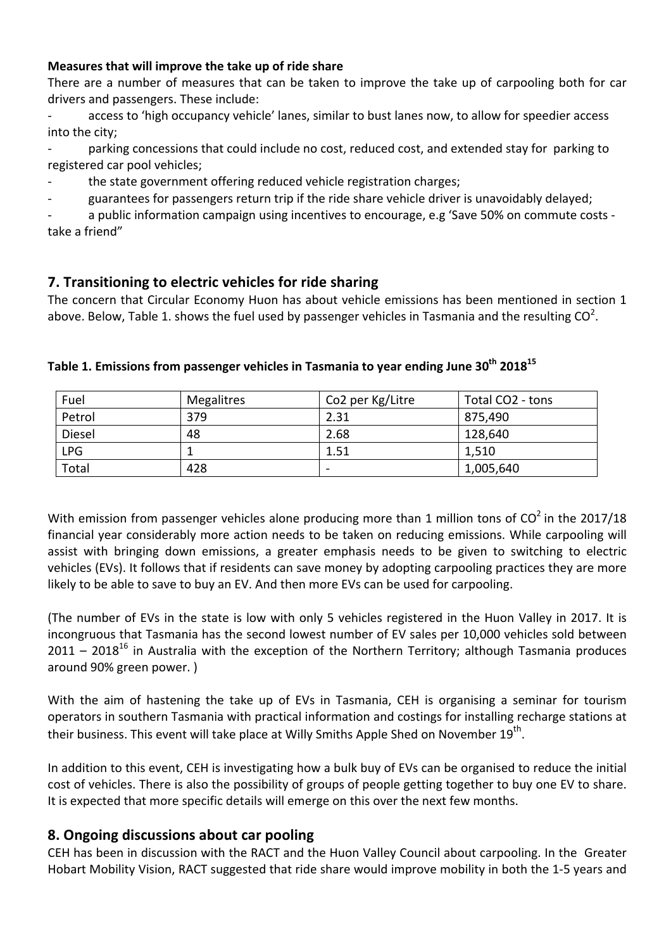#### **Measures that will improve the take up of ride share**

There are a number of measures that can be taken to improve the take up of carpooling both for car drivers and passengers. These include:

- access to 'high occupancy vehicle' lanes, similar to bust lanes now, to allow for speedier access into the city:

parking concessions that could include no cost, reduced cost, and extended stay for parking to registered car pool vehicles;

the state government offering reduced vehicle registration charges;

guarantees for passengers return trip if the ride share vehicle driver is unavoidably delayed;

a public information campaign using incentives to encourage, e.g 'Save 50% on commute costs take a friend"

# **7.** Transitioning to electric vehicles for ride sharing

The concern that Circular Economy Huon has about vehicle emissions has been mentioned in section 1 above. Below, Table 1. shows the fuel used by passenger vehicles in Tasmania and the resulting CO<sup>2</sup>.

| Fuel       | Megalitres | Co2 per Kg/Litre | Total CO <sub>2</sub> - tons |
|------------|------------|------------------|------------------------------|
| Petrol     | 379        | 2.31             | 875,490                      |
| Diesel     | 48         | 2.68             | 128,640                      |
| <b>LPG</b> |            | 1.51             | 1,510                        |
| Total      | 428        | -                | 1,005,640                    |

### Table 1. Emissions from passenger vehicles in Tasmania to year ending June 30<sup>th</sup> 2018<sup>15</sup>

With emission from passenger vehicles alone producing more than 1 million tons of  $CO^2$  in the 2017/18 financial year considerably more action needs to be taken on reducing emissions. While carpooling will assist with bringing down emissions, a greater emphasis needs to be given to switching to electric vehicles (EVs). It follows that if residents can save money by adopting carpooling practices they are more likely to be able to save to buy an EV. And then more EVs can be used for carpooling.

(The number of EVs in the state is low with only 5 vehicles registered in the Huon Valley in 2017. It is incongruous that Tasmania has the second lowest number of EV sales per 10,000 vehicles sold between 2011 – 2018<sup>16</sup> in Australia with the exception of the Northern Territory; although Tasmania produces around 90% green power. )

With the aim of hastening the take up of EVs in Tasmania, CEH is organising a seminar for tourism operators in southern Tasmania with practical information and costings for installing recharge stations at their business. This event will take place at Willy Smiths Apple Shed on November  $19^{th}$ .

In addition to this event, CEH is investigating how a bulk buy of EVs can be organised to reduce the initial cost of vehicles. There is also the possibility of groups of people getting together to buy one EV to share. It is expected that more specific details will emerge on this over the next few months.

#### **8. Ongoing discussions about car pooling**

CEH has been in discussion with the RACT and the Huon Valley Council about carpooling. In the Greater Hobart Mobility Vision, RACT suggested that ride share would improve mobility in both the 1-5 years and